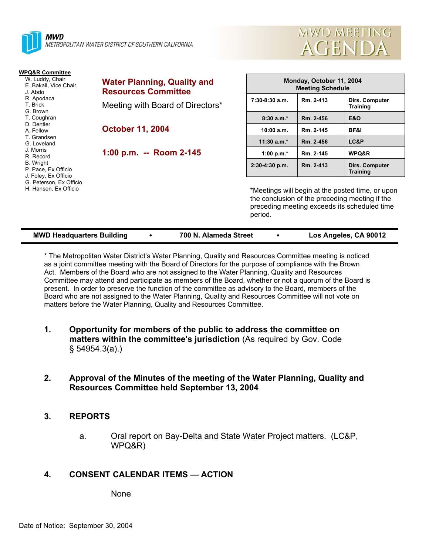



| <b>WPQ&amp;R Committee</b><br>W. Luddy, Chair<br>E. Bakall, Vice Chair<br>J. Abdo | <b>Water Planning, Quality and</b><br><b>Resources Committee</b> | Monday, October 11, 2004<br><b>Meeting Schedule</b> |           |                                                                                                                                                    |  |
|-----------------------------------------------------------------------------------|------------------------------------------------------------------|-----------------------------------------------------|-----------|----------------------------------------------------------------------------------------------------------------------------------------------------|--|
| R. Apodaca<br>T. Brick<br>G. Brown                                                | Meeting with Board of Directors*                                 | $7:30-8:30$ a.m.                                    | Rm. 2-413 | Dirs. Computer<br><b>Training</b>                                                                                                                  |  |
| T. Coughran                                                                       |                                                                  | $8:30a.m.*$                                         | Rm. 2-456 | <b>E&amp;O</b>                                                                                                                                     |  |
| D. Dentler<br>A. Fellow                                                           | <b>October 11, 2004</b>                                          | 10:00 a.m.                                          | Rm. 2-145 | BF&I                                                                                                                                               |  |
| T. Grandsen<br>G. Loveland                                                        |                                                                  | $11:30$ a.m.*                                       | Rm. 2-456 | LC&P                                                                                                                                               |  |
| J. Morris<br>R. Record                                                            | 1:00 p.m. -- Room 2-145                                          | 1:00 p.m. $*$                                       | Rm. 2-145 | WPQ&R                                                                                                                                              |  |
| <b>B.</b> Wright<br>P. Pace, Ex Officio<br>J. Foley, Ex Officio                   |                                                                  | $2:30-4:30$ p.m.                                    | Rm. 2-413 | <b>Dirs. Computer</b><br>Training                                                                                                                  |  |
| G. Peterson, Ex Officio<br>H. Hansen, Ex Officio                                  |                                                                  | period.                                             |           | *Meetings will begin at the posted time, or upon<br>the conclusion of the preceding meeting if the<br>preceding meeting exceeds its scheduled time |  |

| <b>MWD Headquarters Building</b> | 700 N. Alameda Street | Los Angeles, CA 90012 |
|----------------------------------|-----------------------|-----------------------|

\* The Metropolitan Water District's Water Planning, Quality and Resources Committee meeting is noticed as a joint committee meeting with the Board of Directors for the purpose of compliance with the Brown Act. Members of the Board who are not assigned to the Water Planning, Quality and Resources Committee may attend and participate as members of the Board, whether or not a quorum of the Board is present. In order to preserve the function of the committee as advisory to the Board, members of the Board who are not assigned to the Water Planning, Quality and Resources Committee will not vote on matters before the Water Planning, Quality and Resources Committee.

- **1. Opportunity for members of the public to address the committee on matters within the committee's jurisdiction** (As required by Gov. Code § 54954.3(a).)
- **2. Approval of the Minutes of the meeting of the Water Planning, Quality and Resources Committee held September 13, 2004**

## **3. REPORTS**

a. Oral report on Bay-Delta and State Water Project matters. (LC&P, WPQ&R)

## **4. CONSENT CALENDAR ITEMS — ACTION**

None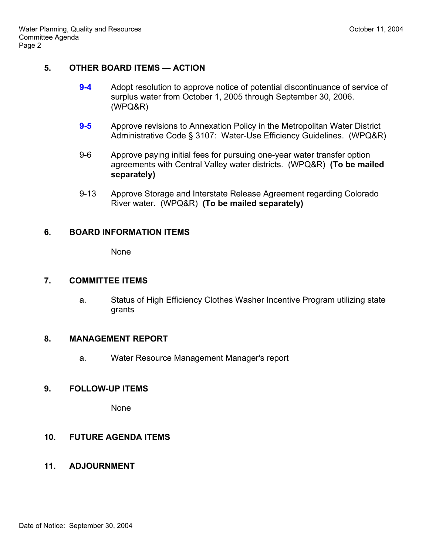# **5. OTHER BOARD ITEMS — ACTION**

- **9-4** Adopt resolution to approve notice of potential discontinuance of service of surplus water from October 1, 2005 through September 30, 2006. (WPQ&R)
- **9-5** Approve revisions to Annexation Policy in the Metropolitan Water District Administrative Code § 3107: Water-Use Efficiency Guidelines. (WPQ&R)
- 9-6 Approve paying initial fees for pursuing one-year water transfer option agreements with Central Valley water districts. (WPQ&R) **(To be mailed separately)**
- 9-13 Approve Storage and Interstate Release Agreement regarding Colorado River water. (WPQ&R) **(To be mailed separately)**

#### **6. BOARD INFORMATION ITEMS**

None

### **7. COMMITTEE ITEMS**

a. Status of High Efficiency Clothes Washer Incentive Program utilizing state grants

## **8. MANAGEMENT REPORT**

a. Water Resource Management Manager's report

## **9. FOLLOW-UP ITEMS**

None

## **10. FUTURE AGENDA ITEMS**

## **11. ADJOURNMENT**